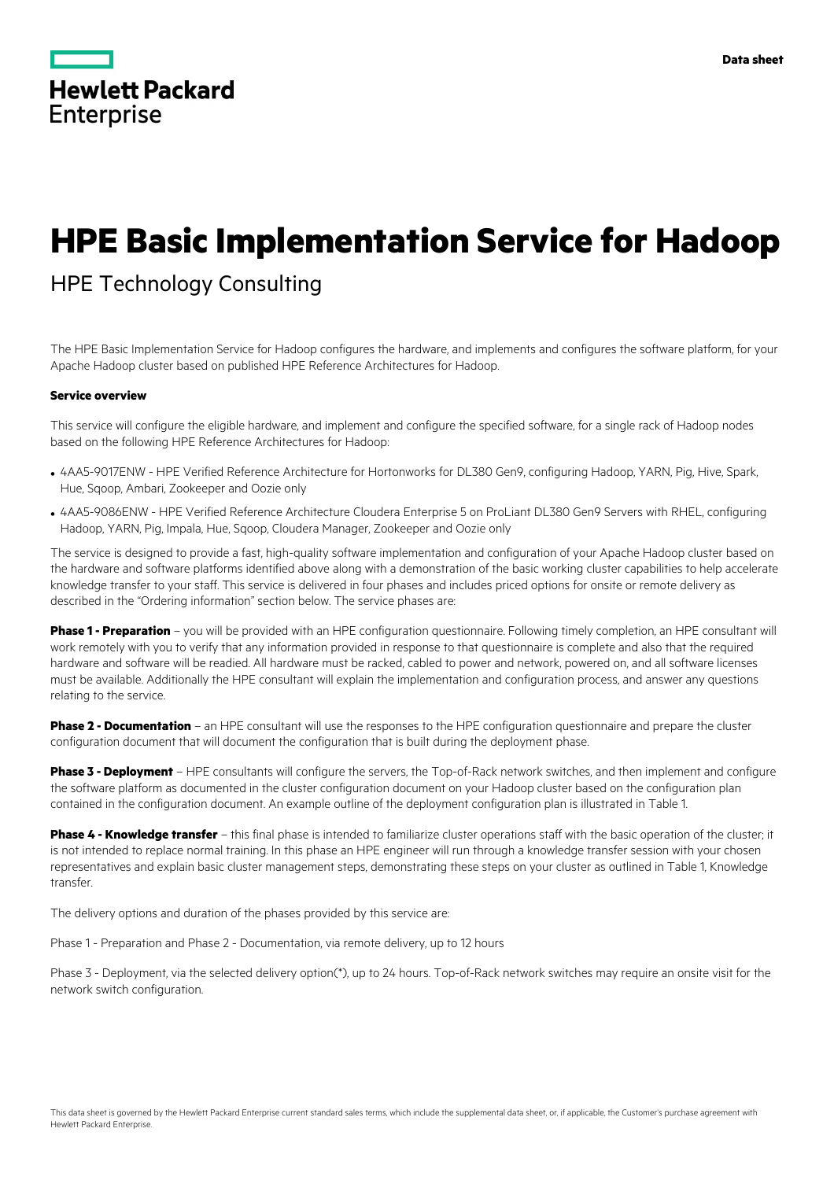

# **HPE Basic Implementation Service for Hadoop**

# HPE Technology Consulting

The HPE Basic Implementation Service for Hadoop configures the hardware, and implements and configures the software platform, for your Apache Hadoop cluster based on published HPE Reference Architectures for Hadoop.

#### **Service overview**

This service will configure the eligible hardware, and implement and configure the specified software, for a single rack of Hadoop nodes based on the following HPE Reference Architectures for Hadoop:

- 4AA5-9017ENW HPE Verified Reference Architecture for Hortonworks for DL380 Gen9, configuring Hadoop, YARN, Pig, Hive, Spark, Hue, Sqoop, Ambari, Zookeeper and Oozie only
- 4AA5-9086ENW HPE Verified Reference Architecture Cloudera Enterprise 5 on ProLiant DL380 Gen9 Servers with RHEL, configuring Hadoop, YARN, Pig, Impala, Hue, Sqoop, Cloudera Manager, Zookeeper and Oozie only

The service is designed to provide a fast, high-quality software implementation and configuration of your Apache Hadoop cluster based on the hardware and software platforms identified above along with a demonstration of the basic working cluster capabilities to help accelerate knowledge transfer to your staff. This service is delivered in four phases and includes priced options for onsite or remote delivery as described in the "Ordering information" section below. The service phases are:

**Phase 1 - Preparation** – you will be provided with an HPE configuration questionnaire. Following timely completion, an HPE consultant will work remotely with you to verify that any information provided in response to that questionnaire is complete and also that the required hardware and software will be readied. All hardware must be racked, cabled to power and network, powered on, and all software licenses must be available. Additionally the HPE consultant will explain the implementation and configuration process, and answer any questions relating to the service.

**Phase 2 - Documentation** – an HPE consultant will use the responses to the HPE configuration questionnaire and prepare the cluster configuration document that will document the configuration that is built during the deployment phase.

**Phase 3 - Deployment** – HPE consultants will configure the servers, the Top-of-Rack network switches, and then implement and configure the software platform as documented in the cluster configuration document on your Hadoop cluster based on the configuration plan contained in the configuration document. An example outline of the deployment configuration plan is illustrated in Table 1.

**Phase 4 - Knowledge transfer** – this final phase is intended to familiarize cluster operations staff with the basic operation of the cluster; it is not intended to replace normal training. In this phase an HPE engineer will run through a knowledge transfer session with your chosen representatives and explain basic cluster management steps, demonstrating these steps on your cluster as outlined in Table 1, Knowledge transfer.

The delivery options and duration of the phases provided by this service are:

Phase 1 - Preparation and Phase 2 - Documentation, via remote delivery, up to 12 hours

Phase 3 - Deployment, via the selected delivery option(\*), up to 24 hours. Top-of-Rack network switches may require an onsite visit for the network switch configuration.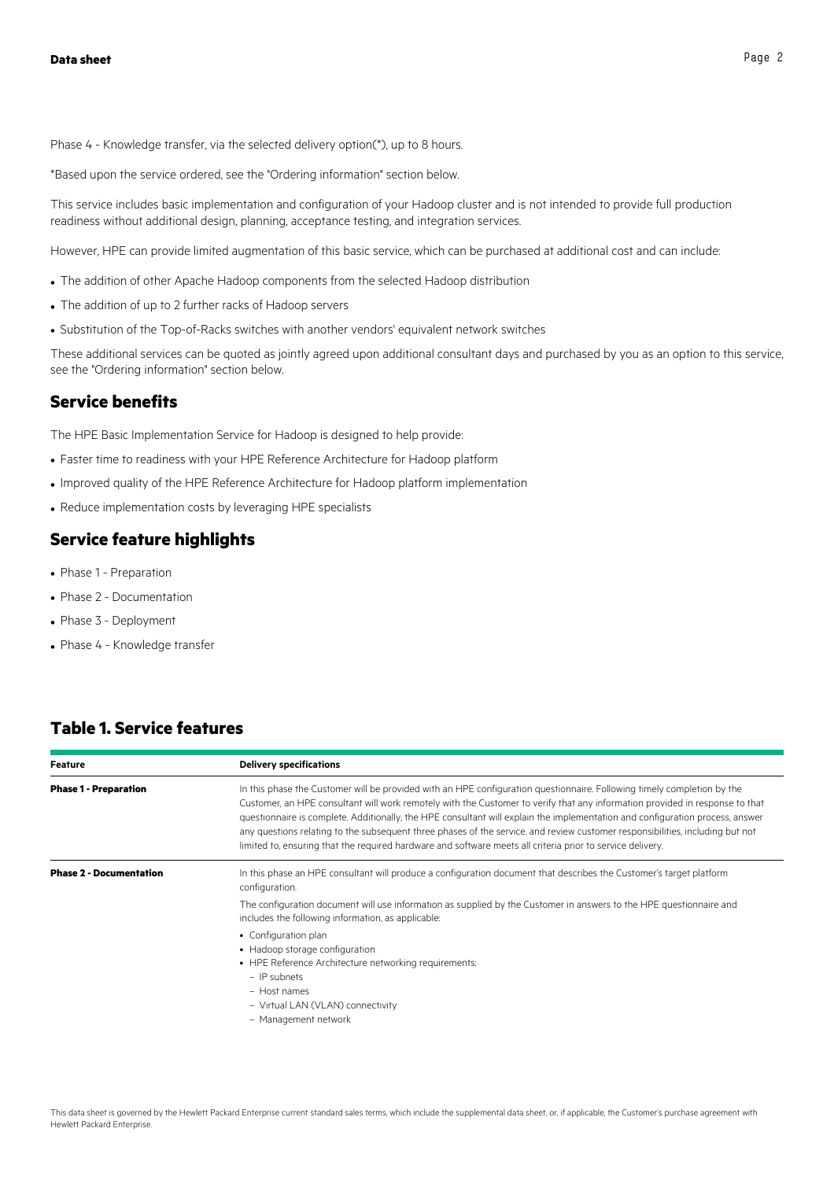Phase 4 - Knowledge transfer, via the selected delivery option(\*), up to 8 hours.

\*Based upon the service ordered, see the "Ordering information" section below.

This service includes basic implementation and configuration of your Hadoop cluster and is not intended to provide full production readiness without additional design, planning, acceptance testing, and integration services.

However, HPE can provide limited augmentation of this basic service, which can be purchased at additional cost and can include:

- The addition of other Apache Hadoop components from the selected Hadoop distribution
- The addition of up to 2 further racks of Hadoop servers
- Substitution of the Top-of-Racks switches with another vendors' equivalent network switches

These additional services can be quoted as jointly agreed upon additional consultant days and purchased by you as an option to this service, see the "Ordering information" section below.

#### **Service benefits**

The HPE Basic Implementation Service for Hadoop is designed to help provide:

- Faster time to readiness with your HPE Reference Architecture for Hadoop platform
- Improved quality of the HPE Reference Architecture for Hadoop platform implementation
- Reduce implementation costs by leveraging HPE specialists

# **Service feature highlights**

- Phase 1 Preparation
- Phase 2 Documentation
- Phase 3 Deployment
- Phase 4 Knowledge transfer

| Feature                        | <b>Delivery specifications</b>                                                                                                                                                                                                                                                                                                                                                                                                                                                                                                                                                                                                          |
|--------------------------------|-----------------------------------------------------------------------------------------------------------------------------------------------------------------------------------------------------------------------------------------------------------------------------------------------------------------------------------------------------------------------------------------------------------------------------------------------------------------------------------------------------------------------------------------------------------------------------------------------------------------------------------------|
| <b>Phase 1 - Preparation</b>   | In this phase the Customer will be provided with an HPE configuration questionnaire. Following timely completion by the<br>Customer, an HPE consultant will work remotely with the Customer to verify that any information provided in response to that<br>questionnaire is complete. Additionally, the HPE consultant will explain the implementation and configuration process, answer<br>any questions relating to the subsequent three phases of the service, and review customer responsibilities, including but not<br>limited to, ensuring that the required hardware and software meets all criteria prior to service delivery. |
| <b>Phase 2 - Documentation</b> | In this phase an HPE consultant will produce a configuration document that describes the Customer's target platform<br>configuration.<br>The configuration document will use information as supplied by the Customer in answers to the HPE questionnaire and<br>includes the following information, as applicable:                                                                                                                                                                                                                                                                                                                      |
|                                | • Configuration plan<br>• Hadoop storage configuration<br>• HPE Reference Architecture networking requirements:<br>$-$ IP subnets<br>$-$ Host names<br>- Virtual LAN (VLAN) connectivity<br>- Management network                                                                                                                                                                                                                                                                                                                                                                                                                        |

### **Table 1. Service features**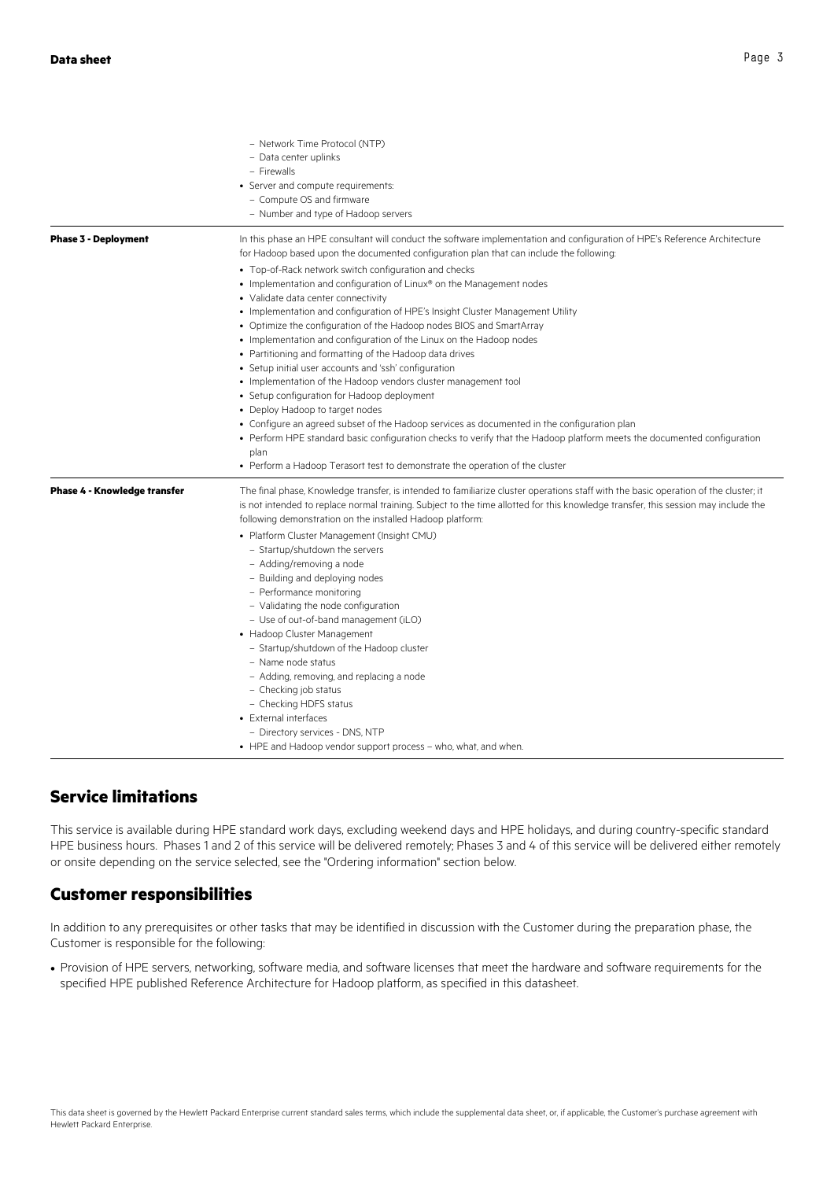|                                     | - Network Time Protocol (NTP)<br>- Data center uplinks<br>- Firewalls<br>• Server and compute requirements:<br>- Compute OS and firmware<br>- Number and type of Hadoop servers                                                                                                                                                                                                                                                                                                                                                                                                                                                                                                                                                                                                                                                                                                                                                  |
|-------------------------------------|----------------------------------------------------------------------------------------------------------------------------------------------------------------------------------------------------------------------------------------------------------------------------------------------------------------------------------------------------------------------------------------------------------------------------------------------------------------------------------------------------------------------------------------------------------------------------------------------------------------------------------------------------------------------------------------------------------------------------------------------------------------------------------------------------------------------------------------------------------------------------------------------------------------------------------|
| <b>Phase 3 - Deployment</b>         | In this phase an HPE consultant will conduct the software implementation and configuration of HPE's Reference Architecture<br>for Hadoop based upon the documented configuration plan that can include the following:<br>• Top-of-Rack network switch configuration and checks<br>• Implementation and configuration of Linux® on the Management nodes<br>• Validate data center connectivity<br>• Implementation and configuration of HPE's Insight Cluster Management Utility                                                                                                                                                                                                                                                                                                                                                                                                                                                  |
|                                     | • Optimize the configuration of the Hadoop nodes BIOS and SmartArray<br>• Implementation and configuration of the Linux on the Hadoop nodes<br>• Partitioning and formatting of the Hadoop data drives<br>• Setup initial user accounts and 'ssh' configuration<br>• Implementation of the Hadoop vendors cluster management tool<br>• Setup configuration for Hadoop deployment<br>• Deploy Hadoop to target nodes<br>• Configure an agreed subset of the Hadoop services as documented in the configuration plan<br>• Perform HPE standard basic configuration checks to verify that the Hadoop platform meets the documented configuration<br>plan<br>• Perform a Hadoop Terasort test to demonstrate the operation of the cluster                                                                                                                                                                                            |
| <b>Phase 4 - Knowledge transfer</b> | The final phase, Knowledge transfer, is intended to familiarize cluster operations staff with the basic operation of the cluster; it<br>is not intended to replace normal training. Subject to the time allotted for this knowledge transfer, this session may include the<br>following demonstration on the installed Hadoop platform:<br>• Platform Cluster Management (Insight CMU)<br>- Startup/shutdown the servers<br>- Adding/removing a node<br>- Building and deploying nodes<br>- Performance monitoring<br>- Validating the node configuration<br>- Use of out-of-band management (iLO)<br>• Hadoop Cluster Management<br>- Startup/shutdown of the Hadoop cluster<br>- Name node status<br>- Adding, removing, and replacing a node<br>- Checking job status<br>- Checking HDFS status<br>• External interfaces<br>- Directory services - DNS, NTP<br>• HPE and Hadoop vendor support process – who, what, and when. |

# **Service limitations**

This service is available during HPE standard work days, excluding weekend days and HPE holidays, and during country-specific standard HPE business hours. Phases 1 and 2 of this service will be delivered remotely; Phases 3 and 4 of this service will be delivered either remotely or onsite depending on the service selected, see the "Ordering information" section below.

### **Customer responsibilities**

In addition to any prerequisites or other tasks that may be identified in discussion with the Customer during the preparation phase, the Customer is responsible for the following:

• Provision of HPE servers, networking, software media, and software licenses that meet the hardware and software requirements for the specified HPE published Reference Architecture for Hadoop platform, as specified in this datasheet.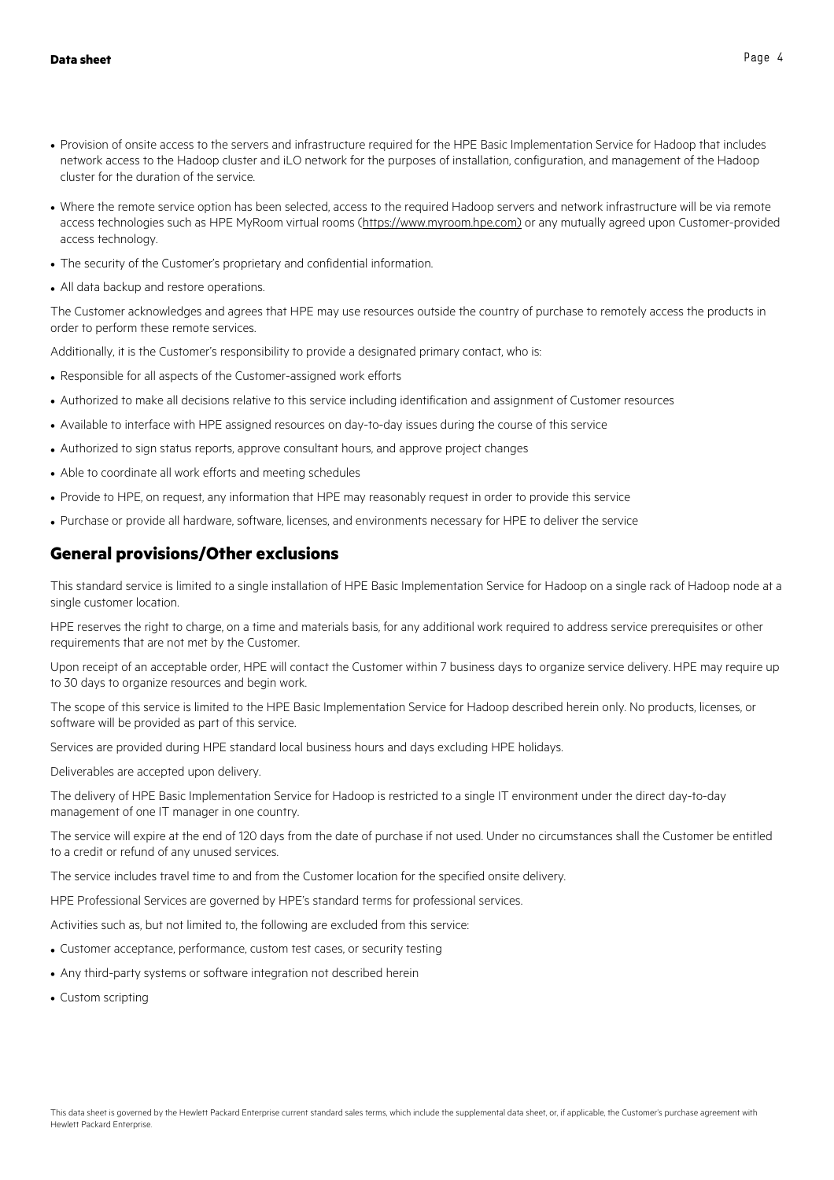- Provision of onsite access to the servers and infrastructure required for the HPE Basic Implementation Service for Hadoop that includes network access to the Hadoop cluster and iLO network for the purposes of installation, configuration, and management of the Hadoop cluster for the duration of the service.
- Where the remote service option has been selected, access to the required Hadoop servers and network infrastructure will be via remote access technologies such as HPE MyRoom virtual rooms (https://www.myroom.hpe.com) or any mutually agreed upon Customer-provided access technology.
- The security of the Customer's proprietary and confidential information.
- All data backup and restore operations.

The Customer acknowledges and agrees that HPE may use resources outside the country of purchase to remotely access the products in order to perform these remote services.

Additionally, it is the Customer's responsibility to provide a designated primary contact, who is:

- Responsible for all aspects of the Customer-assigned work efforts
- Authorized to make all decisions relative to this service including identification and assignment of Customer resources
- Available to interface with HPE assigned resources on day-to-day issues during the course of this service
- Authorized to sign status reports, approve consultant hours, and approve project changes
- Able to coordinate all work efforts and meeting schedules
- Provide to HPE, on request, any information that HPE may reasonably request in order to provide this service
- Purchase or provide all hardware, software, licenses, and environments necessary for HPE to deliver the service

# **General provisions/Other exclusions**

This standard service is limited to a single installation of HPE Basic Implementation Service for Hadoop on a single rack of Hadoop node at a single customer location.

HPE reserves the right to charge, on a time and materials basis, for any additional work required to address service prerequisites or other requirements that are not met by the Customer.

Upon receipt of an acceptable order, HPE will contact the Customer within 7 business days to organize service delivery. HPE may require up to 30 days to organize resources and begin work.

The scope of this service is limited to the HPE Basic Implementation Service for Hadoop described herein only. No products, licenses, or software will be provided as part of this service.

Services are provided during HPE standard local business hours and days excluding HPE holidays.

Deliverables are accepted upon delivery.

The delivery of HPE Basic Implementation Service for Hadoop is restricted to a single IT environment under the direct day-to-day management of one IT manager in one country.

The service will expire at the end of 120 days from the date of purchase if not used. Under no circumstances shall the Customer be entitled to a credit or refund of any unused services.

The service includes travel time to and from the Customer location for the specified onsite delivery.

HPE Professional Services are governed by HPE's standard terms for professional services.

Activities such as, but not limited to, the following are excluded from this service:

- Customer acceptance, performance, custom test cases, or security testing
- Any third-party systems or software integration not described herein
- Custom scripting